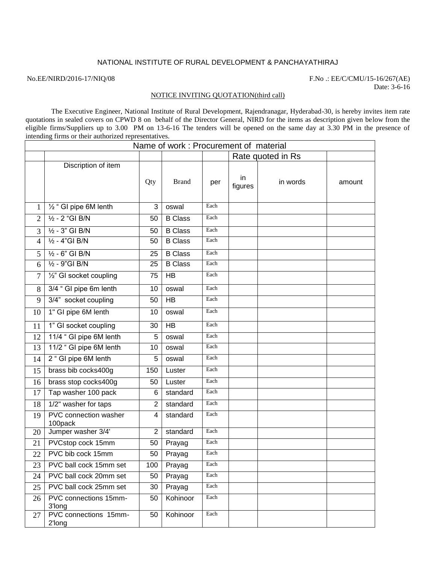## NATIONAL INSTITUTE OF RURAL DEVELOPMENT & PANCHAYATHIRAJ

No.EE/NIRD/2016-17/NIQ/08 F.No .: EE/C/CMU/15-16/267(AE) Date: 3-6-16

## NOTICE INVITING QUOTATION(third call)

The Executive Engineer, National Institute of Rural Development, Rajendranagar, Hyderabad-30, is hereby invites item rate quotations in sealed covers on CPWD 8 on behalf of the Director General, NIRD for the items as description given below from the eligible firms/Suppliers up to 3.00 PM on 13-6-16 The tenders will be opened on the same day at 3.30 PM in the presence of intending firms or their authorized representatives.

| Name of work: Procurement of material |                                    |                |                |      |                   |          |        |  |  |  |
|---------------------------------------|------------------------------------|----------------|----------------|------|-------------------|----------|--------|--|--|--|
|                                       |                                    |                |                |      | Rate quoted in Rs |          |        |  |  |  |
|                                       | Discription of item                | Qty            | <b>Brand</b>   | per  | in<br>figures     | in words | amount |  |  |  |
| 1                                     | 1/ <sub>2</sub> " GI pipe 6M lenth | 3              | oswal          | Each |                   |          |        |  |  |  |
| $\overline{2}$                        | $1/2 - 2$ "GI B/N                  | 50             | <b>B</b> Class | Each |                   |          |        |  |  |  |
| 3                                     | $\frac{1}{2}$ - 3" GI B/N          | 50             | <b>B</b> Class | Each |                   |          |        |  |  |  |
| 4                                     | $\frac{1}{2}$ - 4"GI B/N           | 50             | <b>B</b> Class | Each |                   |          |        |  |  |  |
| 5                                     | $\frac{1}{2}$ - 6" GI B/N          | 25             | <b>B</b> Class | Each |                   |          |        |  |  |  |
| 6                                     | $\frac{1}{2}$ - 9"GI B/N           | 25             | <b>B</b> Class | Each |                   |          |        |  |  |  |
| $\overline{7}$                        | 1/2" GI socket coupling            | 75             | <b>HB</b>      | Each |                   |          |        |  |  |  |
| 8                                     | 3/4 " GI pipe 6m lenth             | 10             | oswal          | Each |                   |          |        |  |  |  |
| 9                                     | 3/4" socket coupling               | 50             | <b>HB</b>      | Each |                   |          |        |  |  |  |
| 10                                    | 1" GI pipe 6M lenth                | 10             | oswal          | Each |                   |          |        |  |  |  |
| 11                                    | 1" GI socket coupling              | 30             | <b>HB</b>      | Each |                   |          |        |  |  |  |
| 12                                    | 11/4 " GI pipe 6M lenth            | 5              | oswal          | Each |                   |          |        |  |  |  |
| 13                                    | 11/2 " GI pipe 6M lenth            | 10             | oswal          | Each |                   |          |        |  |  |  |
| 14                                    | 2 " GI pipe 6M lenth               | 5              | oswal          | Each |                   |          |        |  |  |  |
| 15                                    | brass bib cocks400g                | 150            | Luster         | Each |                   |          |        |  |  |  |
| 16                                    | brass stop cocks400g               | 50             | Luster         | Each |                   |          |        |  |  |  |
| 17                                    | Tap washer 100 pack                | 6              | standard       | Each |                   |          |        |  |  |  |
| 18                                    | 1/2" washer for taps               | $\overline{2}$ | standard       | Each |                   |          |        |  |  |  |
| 19                                    | PVC connection washer<br>100pack   | 4              | standard       | Each |                   |          |        |  |  |  |
| 20                                    | Jumper washer 3/4'                 | $\overline{2}$ | standard       | Each |                   |          |        |  |  |  |
| 21                                    | PVCstop cock 15mm                  | 50             | Prayag         | Each |                   |          |        |  |  |  |
| 22                                    | PVC bib cock 15mm                  | 50             | Prayag         | Each |                   |          |        |  |  |  |
| 23                                    | PVC ball cock 15mm set             | 100            | Prayag         | Each |                   |          |        |  |  |  |
| 24                                    | PVC ball cock 20mm set             | 50             | Prayag         | Each |                   |          |        |  |  |  |
| 25                                    | PVC ball cock 25mm set             | 30             | Prayag         | Each |                   |          |        |  |  |  |
| 26                                    | PVC connections 15mm-<br>3'long    | 50             | Kohinoor       | Each |                   |          |        |  |  |  |
| 27                                    | PVC connections 15mm-<br>2'long    | 50             | Kohinoor       | Each |                   |          |        |  |  |  |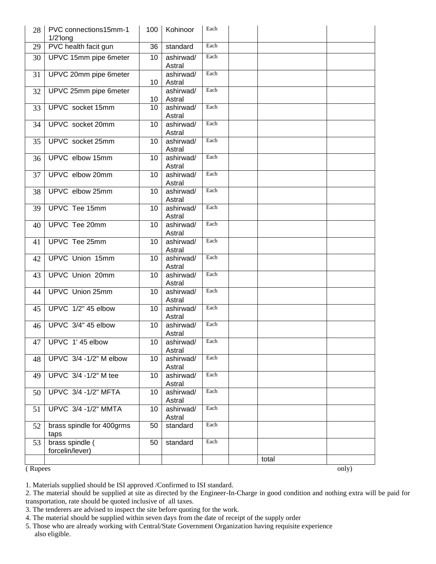| 28      | PVC connections15mm-1<br>$1/2$ long | 100             | Kohinoor            | Each |       |       |
|---------|-------------------------------------|-----------------|---------------------|------|-------|-------|
| 29      | PVC health facit gun                | 36              | standard            | Each |       |       |
| 30      | UPVC 15mm pipe 6meter               | 10              | ashirwad/<br>Astral | Each |       |       |
| 31      | UPVC 20mm pipe 6meter               | 10              | ashirwad/<br>Astral | Each |       |       |
| 32      | UPVC 25mm pipe 6meter               | 10 <sup>°</sup> | ashirwad/<br>Astral | Each |       |       |
| 33      | UPVC socket 15mm                    | 10              | ashirwad/<br>Astral | Each |       |       |
| 34      | UPVC socket 20mm                    | 10              | ashirwad/<br>Astral | Each |       |       |
| 35      | UPVC socket 25mm                    | 10              | ashirwad/<br>Astral | Each |       |       |
| 36      | UPVC elbow 15mm                     | 10              | ashirwad/<br>Astral | Each |       |       |
| 37      | UPVC elbow 20mm                     | 10              | ashirwad/<br>Astral | Each |       |       |
| 38      | UPVC elbow 25mm                     | 10              | ashirwad/<br>Astral | Each |       |       |
| 39      | UPVC Tee 15mm                       | 10              | ashirwad/<br>Astral | Each |       |       |
| 40      | UPVC Tee 20mm                       | 10              | ashirwad/<br>Astral | Each |       |       |
| 41      | UPVC Tee 25mm                       | 10              | ashirwad/<br>Astral | Each |       |       |
| 42      | UPVC Union 15mm                     | 10              | ashirwad/<br>Astral | Each |       |       |
| 43      | UPVC Union 20mm                     | 10              | ashirwad/<br>Astral | Each |       |       |
| 44      | <b>UPVC</b> Union 25mm              | 10              | ashirwad/<br>Astral | Each |       |       |
| 45      | UPVC 1/2" 45 elbow                  | 10              | ashirwad/<br>Astral | Each |       |       |
| 46      | UPVC 3/4" 45 elbow                  | 10              | ashirwad/<br>Astral | Each |       |       |
|         | 47   UPVC 1' 45 elbow               | 10 <sup>1</sup> | ashirwad/<br>Astral | Each |       |       |
| 48      | UPVC 3/4 -1/2" M elbow              | 10              | ashirwad/<br>Astral | Each |       |       |
| 49      | UPVC 3/4 -1/2" M tee                | 10              | ashirwad/<br>Astral | Each |       |       |
| 50      | UPVC 3/4 -1/2" MFTA                 | 10              | ashirwad/<br>Astral | Each |       |       |
| 51      | UPVC 3/4 -1/2" MMTA                 | 10              | ashirwad/<br>Astral | Each |       |       |
| 52      | brass spindle for 400grms<br>taps   | 50              | standard            | Each |       |       |
| 53      | brass spindle (<br>forcelin/lever)  | 50              | standard            | Each |       |       |
|         |                                     |                 |                     |      | total |       |
| (Rupees |                                     |                 |                     |      |       | only) |

1. Materials supplied should be ISI approved /Confirmed to ISI standard.

2. The material should be supplied at site as directed by the Engineer-In-Charge in good condition and nothing extra will be paid for transportation, rate should be quoted inclusive of all taxes.

- 3. The tenderers are advised to inspect the site before quoting for the work.
- 4. The material should be supplied within seven days from the date of receipt of the supply order

5. Those who are already working with Central/State Government Organization having requisite experience also eligible.